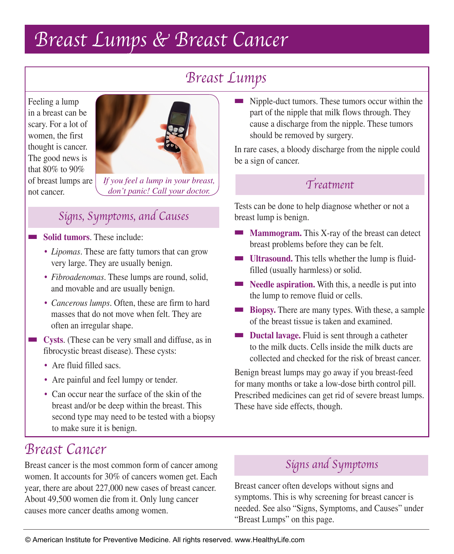# Breast Lumps & Breast Cancer

## Breast Lumps

Feeling a lump in a breast can be scary. For a lot of women, the first thought is cancer. The good news is that 80% to 90% of breast lumps are not cancer.



*If you feel a lump in your breast, don't panic! Call your doctor.*

## Signs, Symptoms, and Causes

#### **Solid tumors**. These include:

- *Lipomas*. These are fatty tumors that can grow very large. They are usually benign.
- *Fibroadenomas*. These lumps are round, solid, and movable and are usually benign.
- *Cancerous lumps*. Often, these are firm to hard masses that do not move when felt. They are often an irregular shape.
- **EXECUTE:** Cysts. (These can be very small and diffuse, as in fibrocystic breast disease). These cysts:
	- Are fluid filled sacs.
	- Are painful and feel lumpy or tender.
	- Can occur near the surface of the skin of the breast and/or be deep within the breast. This second type may need to be tested with a biopsy to make sure it is benign.

#### ■ Nipple-duct tumors. These tumors occur within the part of the nipple that milk flows through. They cause a discharge from the nipple. These tumors should be removed by surgery.

In rare cases, a bloody discharge from the nipple could be a sign of cancer.

## Treatment

Tests can be done to help diagnose whether or not a breast lump is benign.

- **Mammogram.** This X-ray of the breast can detect breast problems before they can be felt.
- **Ultrasound.** This tells whether the lump is fluidfilled (usually harmless) or solid.
- **Needle aspiration.** With this, a needle is put into the lump to remove fluid or cells.
- **Biopsy.** There are many types. With these, a sample of the breast tissue is taken and examined.
- **Ductal lavage.** Fluid is sent through a catheter to the milk ducts. Cells inside the milk ducts are collected and checked for the risk of breast cancer.

Benign breast lumps may go away if you breast-feed for many months or take a low-dose birth control pill. Prescribed medicines can get rid of severe breast lumps. These have side effects, though.

## Breast Cancer

Breast cancer is the most common form of cancer among women. It accounts for 30% of cancers women get. Each year, there are about 227,000 new cases of breast cancer. About 49,500 women die from it. Only lung cancer causes more cancer deaths among women.

## Signs and Symptoms

Breast cancer often develops without signs and symptoms. This is why screening for breast cancer is needed. See also "Signs, Symptoms, and Causes" under "Breast Lumps" on this page.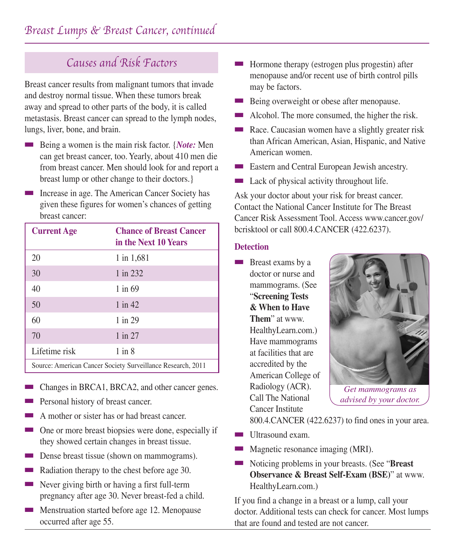## Causes and Risk Factors

Breast cancer results from malignant tumors that invade and destroy normal tissue. When these tumors break away and spread to other parts of the body, it is called metastasis. Breast cancer can spread to the lymph nodes, lungs, liver, bone, and brain.

- Being a women is the main risk factor. {*Note:* Men can get breast cancer, too. Yearly, about 410 men die from breast cancer. Men should look for and report a breast lump or other change to their doctors.}
- Increase in age. The American Cancer Society has given these figures for women's chances of getting breast cancer:

| <b>Current Age</b>                                          | <b>Chance of Breast Cancer</b><br>in the Next 10 Years |
|-------------------------------------------------------------|--------------------------------------------------------|
| 20                                                          | 1 in 1,681                                             |
| 30                                                          | $1$ in 232                                             |
| 40                                                          | $1$ in 69                                              |
| 50                                                          | $1$ in $42$                                            |
| 60                                                          | $1$ in 29                                              |
| 70                                                          | $1$ in $27$                                            |
| Lifetime risk                                               | $1$ in $8$                                             |
| Source: American Cancer Society Surveillance Research, 2011 |                                                        |

- Changes in BRCA1, BRCA2, and other cancer genes.
- Personal history of breast cancer.
- A mother or sister has or had breast cancer.
- One or more breast biopsies were done, especially if they showed certain changes in breast tissue.
- Dense breast tissue (shown on mammograms).
- Radiation therapy to the chest before age 30.
- Never giving birth or having a first full-term pregnancy after age 30. Never breast-fed a child.
- Menstruation started before age 12. Menopause occurred after age 55.
- Hormone therapy (estrogen plus progestin) after menopause and/or recent use of birth control pills may be factors.
- Being overweight or obese after menopause.
- Alcohol. The more consumed, the higher the risk.
- Race. Caucasian women have a slightly greater risk than African American, Asian, Hispanic, and Native American women.
- Eastern and Central European Jewish ancestry.
- Lack of physical activity throughout life.

Ask your doctor about your risk for breast cancer. Contact the National Cancer Institute for The Breast Cancer Risk Assessment Tool. Access www.cancer.gov/ bcrisktool or call 800.4.CANCER (422.6237).

#### **Detection**

**Breast exams by a** doctor or nurse and mammograms. (See "**Screening Tests & When to Have Them**" at www. HealthyLearn.com.) Have mammograms at facilities that are accredited by the American College of Radiology (ACR). Call The National Cancer Institute



*Get mammograms as advised by your doctor.*

800.4.CANCER (422.6237) to find ones in your area.

- Ultrasound exam.
- Magnetic resonance imaging (MRI).
- Noticing problems in your breasts. (See "**Breast Observance & Breast Self-Exam (BSE)**" at www. HealthyLearn.com.)

If you find a change in a breast or a lump, call your doctor. Additional tests can check for cancer. Most lumps that are found and tested are not cancer.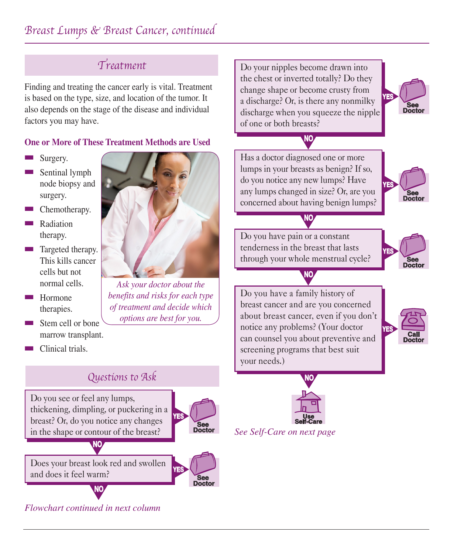## Treatment

Finding and treating the cancer early is vital. Treatment is based on the type, size, and location of the tumor. It also depends on the stage of the disease and individual factors you may have.

#### **One or More of These Treatment Methods are Used**

- Surgery.
- Sentinal lymph node biopsy and surgery.
- Chemotherapy.
- **Radiation** therapy.
- Targeted therapy. This kills cancer cells but not normal cells.
- Hormone therapies.
- Stem cell or bone marrow transplant.
- Clinical trials.



*Ask your doctor about the benefits and risks for each type of treatment and decide which options are best for you.*

Do your nipples become drawn into the chest or inverted totally? Do they change shape or become crusty from a discharge? Or, is there any nonmilky discharge when you squeeze the nipple of one or both breasts?

**NO**



Has a doctor diagnosed one or more lumps in your breasts as benign? If so, do you notice any new lumps? Have any lumps changed in size? Or, are you concerned about having benign lumps?

**NO**



Do you have pain or a constant tenderness in the breast that lasts through your whole menstrual cycle?



Do you have a family history of breast cancer and are you concerned about breast cancer, even if you don't notice any problems? (Your doctor can counsel you about preventive and screening programs that best suit your needs.)

**NO**





*See Self-Care on next page*

### Questions to Ask

Do you see or feel any lumps, thickening, dimpling, or puckering in a breast? Or, do you notice any changes in the shape or contour of the breast?



**See Doctor**



**NO**

**NO**

*Flowchart continued in next column*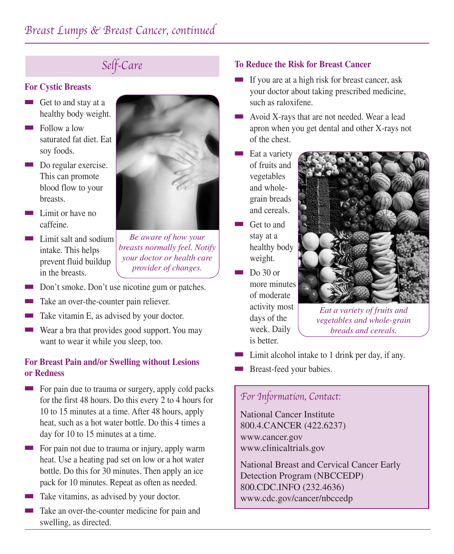## Self-Care

#### **For Cystic Breasts**

- Get to and stay at a healthy body weight.
- Follow a low saturated fat diet. Eat soy foods.
- Do regular exercise. This can promote blood flow to your breasts.
- Limit or have no caffeine.
- Limit salt and sodium intake. This helps prevent fluid buildup in the breasts.



*Be aware of how your breasts normally feel. Notify your doctor or health care provider of changes.*

- Don't smoke. Don't use nicotine gum or patches.
- Take an over-the-counter pain reliever.
- Take vitamin E, as advised by your doctor.
- Wear a bra that provides good support. You may want to wear it while you sleep, too.

#### **For Breast Pain and/or Swelling without Lesions or Redness**

- For pain due to trauma or surgery, apply cold packs for the first 48 hours. Do this every 2 to 4 hours for 10 to 15 minutes at a time. After 48 hours, apply heat, such as a hot water bottle. Do this 4 times a day for 10 to 15 minutes at a time.
- For pain not due to trauma or injury, apply warm heat. Use a heating pad set on low or a hot water bottle. Do this for 30 minutes. Then apply an ice pack for 10 minutes. Repeat as often as needed.
- Take vitamins, as advised by your doctor.
- Take an over-the-counter medicine for pain and swelling, as directed.

#### **To Reduce the Risk for Breast Cancer**

- If you are at a high risk for breast cancer, ask your doctor about taking prescribed medicine, such as raloxifene.
- Avoid X-rays that are not needed. Wear a lead apron when you get dental and other X-rays not of the chest.
- Eat a variety of fruits and vegetables and wholegrain breads and cereals.
- Get to and stay at a healthy body weight.
- Do 30 or more minutes of moderate activity most days of the week. Daily is better.



*Eat a variety of fruits and vegetables and whole-grain breads and cereals.*

- Limit alcohol intake to 1 drink per day, if any.
- Breast-feed your babies.

### For Information, Contact:

National Cancer Institute 800.4.CANCER (422.6237) www.cancer.gov www.clinicaltrials.gov

National Breast and Cervical Cancer Early Detection Program (NBCCEDP) 800.CDC.INFO (232.4636) www.cdc.gov/cancer/nbccedp